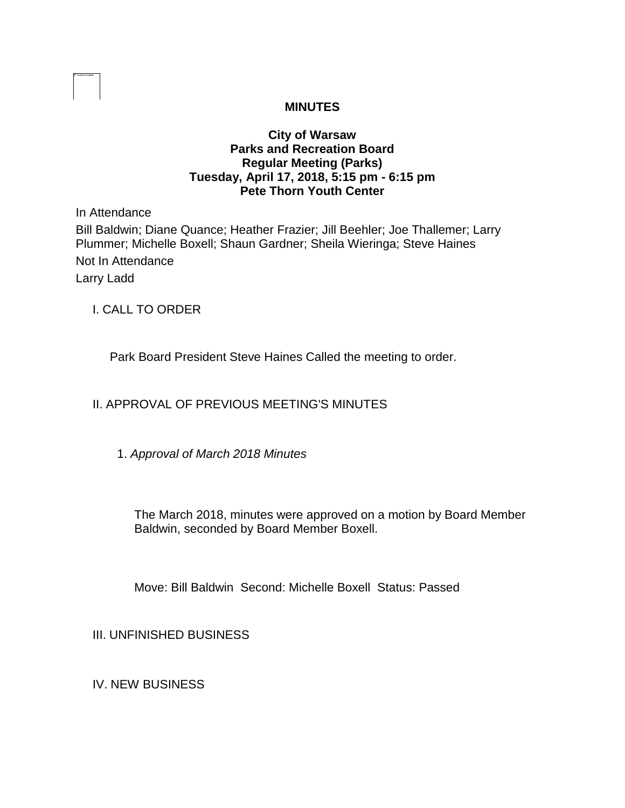# **MINUTES**

# **City of Warsaw Parks and Recreation Board Regular Meeting (Parks) Tuesday, April 17, 2018, 5:15 pm - 6:15 pm Pete Thorn Youth Center**

In Attendance

Bill Baldwin; Diane Quance; Heather Frazier; Jill Beehler; Joe Thallemer; Larry Plummer; Michelle Boxell; Shaun Gardner; Sheila Wieringa; Steve Haines Not In Attendance Larry Ladd

I. CALL TO ORDER

Park Board President Steve Haines Called the meeting to order.

# II. APPROVAL OF PREVIOUS MEETING'S MINUTES

1. *Approval of March 2018 Minutes* 

The March 2018, minutes were approved on a motion by Board Member Baldwin, seconded by Board Member Boxell.

Move: Bill Baldwin Second: Michelle Boxell Status: Passed

III. UNFINISHED BUSINESS

IV. NEW BUSINESS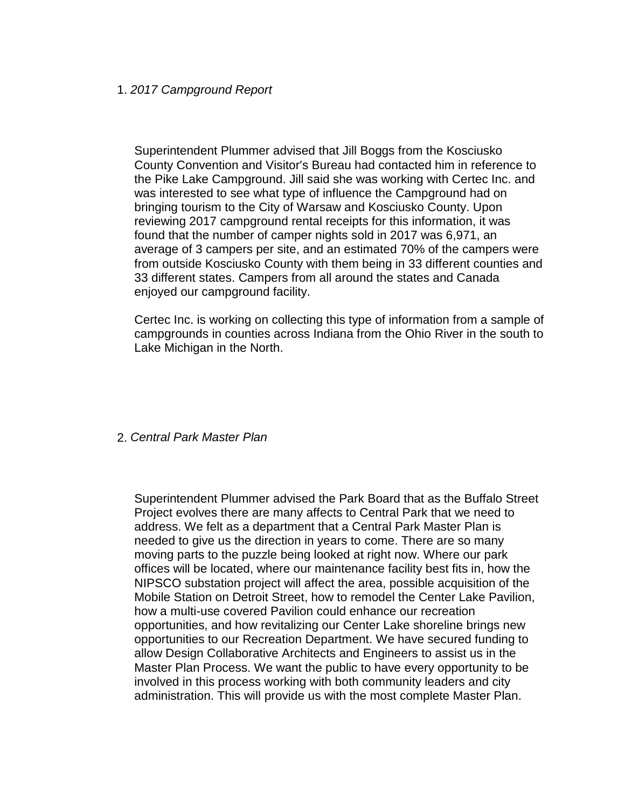#### 1. *2017 Campground Report*

Superintendent Plummer advised that Jill Boggs from the Kosciusko County Convention and Visitor's Bureau had contacted him in reference to the Pike Lake Campground. Jill said she was working with Certec Inc. and was interested to see what type of influence the Campground had on bringing tourism to the City of Warsaw and Kosciusko County. Upon reviewing 2017 campground rental receipts for this information, it was found that the number of camper nights sold in 2017 was 6,971, an average of 3 campers per site, and an estimated 70% of the campers were from outside Kosciusko County with them being in 33 different counties and 33 different states. Campers from all around the states and Canada enjoyed our campground facility.

Certec Inc. is working on collecting this type of information from a sample of campgrounds in counties across Indiana from the Ohio River in the south to Lake Michigan in the North.

#### 2. *Central Park Master Plan*

Superintendent Plummer advised the Park Board that as the Buffalo Street Project evolves there are many affects to Central Park that we need to address. We felt as a department that a Central Park Master Plan is needed to give us the direction in years to come. There are so many moving parts to the puzzle being looked at right now. Where our park offices will be located, where our maintenance facility best fits in, how the NIPSCO substation project will affect the area, possible acquisition of the Mobile Station on Detroit Street, how to remodel the Center Lake Pavilion, how a multi-use covered Pavilion could enhance our recreation opportunities, and how revitalizing our Center Lake shoreline brings new opportunities to our Recreation Department. We have secured funding to allow Design Collaborative Architects and Engineers to assist us in the Master Plan Process. We want the public to have every opportunity to be involved in this process working with both community leaders and city administration. This will provide us with the most complete Master Plan.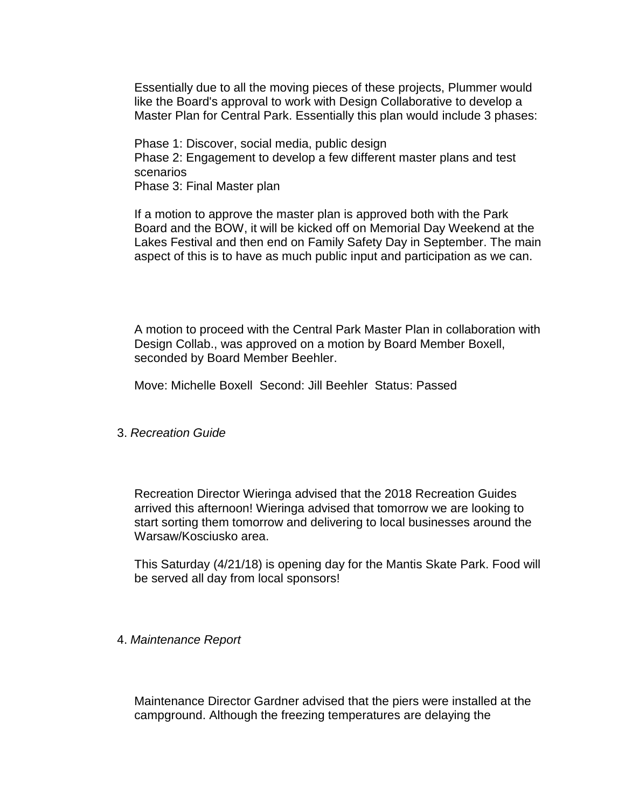Essentially due to all the moving pieces of these projects, Plummer would like the Board's approval to work with Design Collaborative to develop a Master Plan for Central Park. Essentially this plan would include 3 phases:

Phase 1: Discover, social media, public design Phase 2: Engagement to develop a few different master plans and test scenarios Phase 3: Final Master plan

If a motion to approve the master plan is approved both with the Park Board and the BOW, it will be kicked off on Memorial Day Weekend at the Lakes Festival and then end on Family Safety Day in September. The main aspect of this is to have as much public input and participation as we can.

A motion to proceed with the Central Park Master Plan in collaboration with Design Collab., was approved on a motion by Board Member Boxell, seconded by Board Member Beehler.

Move: Michelle Boxell Second: Jill Beehler Status: Passed

3. *Recreation Guide* 

Recreation Director Wieringa advised that the 2018 Recreation Guides arrived this afternoon! Wieringa advised that tomorrow we are looking to start sorting them tomorrow and delivering to local businesses around the Warsaw/Kosciusko area.

This Saturday (4/21/18) is opening day for the Mantis Skate Park. Food will be served all day from local sponsors!

### 4. *Maintenance Report*

Maintenance Director Gardner advised that the piers were installed at the campground. Although the freezing temperatures are delaying the